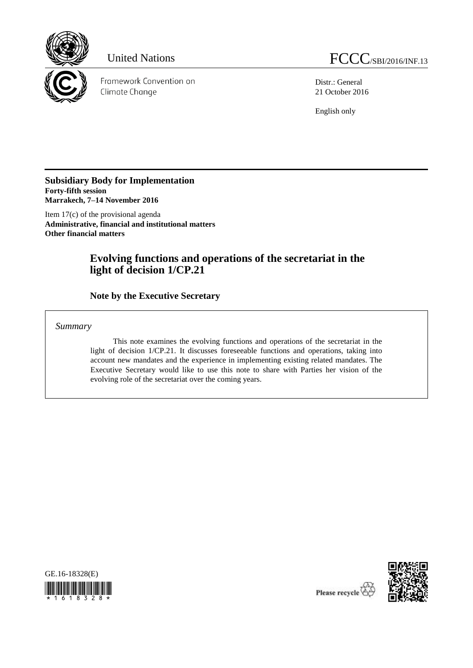

Framework Convention on Climate Change

Distr.: General 21 October 2016

English only

**Subsidiary Body for Implementation Forty-fifth session Marrakech, 7–14 November 2016**

Item 17(c) of the provisional agenda **Administrative, financial and institutional matters Other financial matters**

# **Evolving functions and operations of the secretariat in the light of decision 1/CP.21**

**Note by the Executive Secretary**

*Summary*

This note examines the evolving functions and operations of the secretariat in the light of decision 1/CP.21. It discusses foreseeable functions and operations, taking into account new mandates and the experience in implementing existing related mandates. The Executive Secretary would like to use this note to share with Parties her vision of the evolving role of the secretariat over the coming years.





Please recycle  $\overline{\mathcal{C}}$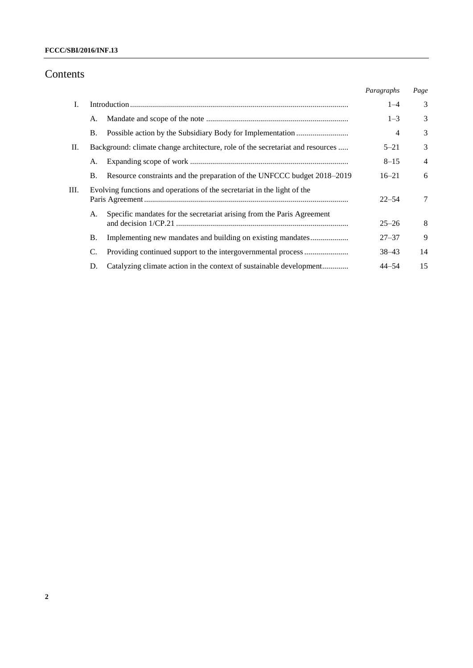## Contents

|    |                                                                                |                                                                         | Paragraphs | Page           |
|----|--------------------------------------------------------------------------------|-------------------------------------------------------------------------|------------|----------------|
| I. |                                                                                |                                                                         | $1 - 4$    | 3              |
|    | A.                                                                             |                                                                         | $1 - 3$    | 3              |
|    | Β.                                                                             |                                                                         | 4          | 3              |
| П. | Background: climate change architecture, role of the secretariat and resources |                                                                         | $5 - 21$   | 3              |
|    | А.                                                                             |                                                                         | $8 - 15$   | $\overline{4}$ |
|    | <b>B</b> .                                                                     | Resource constraints and the preparation of the UNFCCC budget 2018–2019 | $16 - 21$  | 6              |
| Ш. | Evolving functions and operations of the secretariat in the light of the       |                                                                         | $22 - 54$  | 7              |
|    | А.                                                                             | Specific mandates for the secretariat arising from the Paris Agreement  | $25 - 26$  | 8              |
|    | Β.                                                                             | Implementing new mandates and building on existing mandates             | $27 - 37$  | 9              |
|    | C.                                                                             |                                                                         | $38 - 43$  | 14             |
|    | D.                                                                             | Catalyzing climate action in the context of sustainable development     | $44 - 54$  | 15             |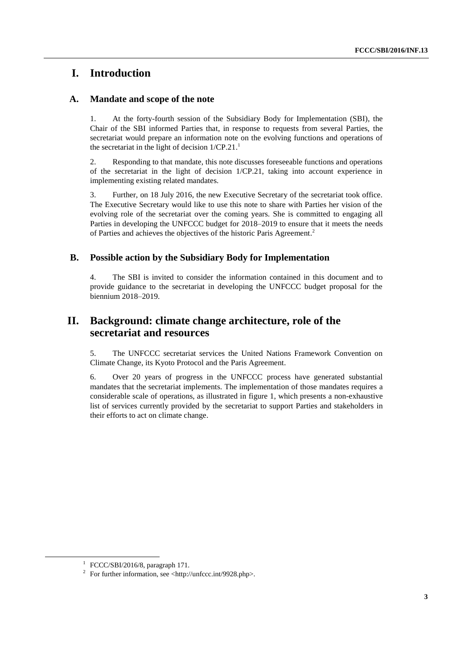## **I. Introduction**

### **A. Mandate and scope of the note**

1. At the forty-fourth session of the Subsidiary Body for Implementation (SBI), the Chair of the SBI informed Parties that, in response to requests from several Parties, the secretariat would prepare an information note on the evolving functions and operations of the secretariat in the light of decision  $1/CP.21$ .<sup>1</sup>

2. Responding to that mandate, this note discusses foreseeable functions and operations of the secretariat in the light of decision 1/CP.21, taking into account experience in implementing existing related mandates.

3. Further, on 18 July 2016, the new Executive Secretary of the secretariat took office. The Executive Secretary would like to use this note to share with Parties her vision of the evolving role of the secretariat over the coming years. She is committed to engaging all Parties in developing the UNFCCC budget for 2018–2019 to ensure that it meets the needs of Parties and achieves the objectives of the historic Paris Agreement.<sup>2</sup>

### **B. Possible action by the Subsidiary Body for Implementation**

4. The SBI is invited to consider the information contained in this document and to provide guidance to the secretariat in developing the UNFCCC budget proposal for the biennium 2018–2019.

## **II. Background: climate change architecture, role of the secretariat and resources**

5. The UNFCCC secretariat services the United Nations Framework Convention on Climate Change, its Kyoto Protocol and the Paris Agreement.

6. Over 20 years of progress in the UNFCCC process have generated substantial mandates that the secretariat implements. The implementation of those mandates requires a considerable scale of operations, as illustrated in figure 1, which presents a non-exhaustive list of services currently provided by the secretariat to support Parties and stakeholders in their efforts to act on climate change.

<sup>&</sup>lt;sup>1</sup> FCCC/SBI/2016/8, paragraph 171.

<sup>&</sup>lt;sup>2</sup> For further information, see <http://unfccc.int/9928.php>.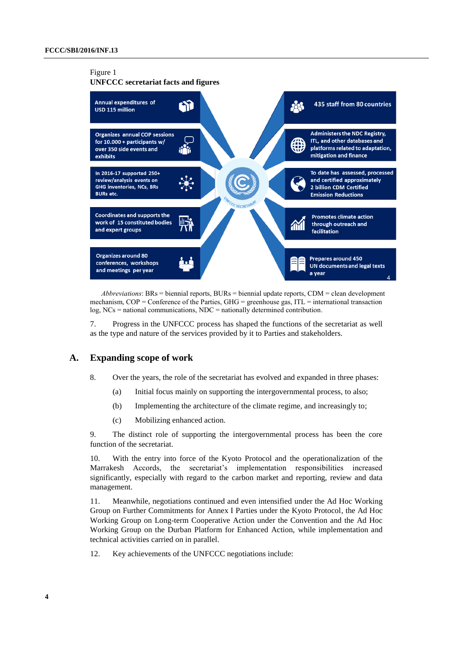### Figure 1

**UNFCCC secretariat facts and figures**



*Abbreviations*: BRs = biennial reports, BURs = biennial update reports, CDM = clean development mechanism,  $COP =$  Conference of the Parties,  $GHG =$  greenhouse gas, ITL = international transaction log, NCs = national communications, NDC = nationally determined contribution.

7. Progress in the UNFCCC process has shaped the functions of the secretariat as well as the type and nature of the services provided by it to Parties and stakeholders.

#### **A. Expanding scope of work**

- 8. Over the years, the role of the secretariat has evolved and expanded in three phases:
	- (a) Initial focus mainly on supporting the intergovernmental process, to also;
	- (b) Implementing the architecture of the climate regime, and increasingly to;
	- (c) Mobilizing enhanced action.

9. The distinct role of supporting the intergovernmental process has been the core function of the secretariat.

10. With the entry into force of the Kyoto Protocol and the operationalization of the Marrakesh Accords, the secretariat's implementation responsibilities increased significantly, especially with regard to the carbon market and reporting, review and data management.

11. Meanwhile, negotiations continued and even intensified under the Ad Hoc Working Group on Further Commitments for Annex I Parties under the Kyoto Protocol, the Ad Hoc Working Group on Long-term Cooperative Action under the Convention and the Ad Hoc Working Group on the Durban Platform for Enhanced Action, while implementation and technical activities carried on in parallel.

12. Key achievements of the UNFCCC negotiations include: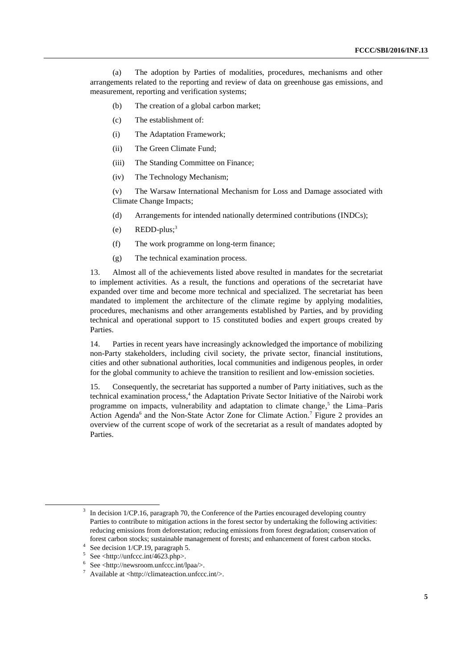(a) The adoption by Parties of modalities, procedures, mechanisms and other arrangements related to the reporting and review of data on greenhouse gas emissions, and measurement, reporting and verification systems;

- (b) The creation of a global carbon market;
- (c) The establishment of:
- (i) The Adaptation Framework;
- (ii) The Green Climate Fund;
- (iii) The Standing Committee on Finance;
- (iv) The Technology Mechanism;

(v) The Warsaw International Mechanism for Loss and Damage associated with Climate Change Impacts;

- (d) Arrangements for intended nationally determined contributions (INDCs);
- (e) REDD-plus; 3
- (f) The work programme on long-term finance;
- (g) The technical examination process.

13. Almost all of the achievements listed above resulted in mandates for the secretariat to implement activities. As a result, the functions and operations of the secretariat have expanded over time and become more technical and specialized. The secretariat has been mandated to implement the architecture of the climate regime by applying modalities, procedures, mechanisms and other arrangements established by Parties, and by providing technical and operational support to 15 constituted bodies and expert groups created by Parties.

14. Parties in recent years have increasingly acknowledged the importance of mobilizing non-Party stakeholders, including civil society, the private sector, financial institutions, cities and other subnational authorities, local communities and indigenous peoples, in order for the global community to achieve the transition to resilient and low-emission societies.

15. Consequently, the secretariat has supported a number of Party initiatives, such as the technical examination process, 4 the Adaptation Private Sector Initiative of the Nairobi work programme on impacts, vulnerability and adaptation to climate change,<sup>5</sup> the Lima–Paris Action Agenda<sup>6</sup> and the Non-State Actor Zone for Climate Action.<sup>7</sup> Figure 2 provides an overview of the current scope of work of the secretariat as a result of mandates adopted by Parties.

<sup>&</sup>lt;sup>3</sup> In decision 1/CP.16, paragraph 70, the Conference of the Parties encouraged developing country Parties to contribute to mitigation actions in the forest sector by undertaking the following activities: reducing emissions from deforestation; reducing emissions from forest degradation; conservation of forest carbon stocks; sustainable management of forests; and enhancement of forest carbon stocks.

<sup>4</sup> See decision 1/CP.19, paragraph 5.

<sup>5</sup> See <http://unfccc.int/4623.php>.

<sup>6</sup> See <http://newsroom.unfccc.int/lpaa/>.

<sup>&</sup>lt;sup>7</sup> Available at <http://climateaction.unfccc.int/>.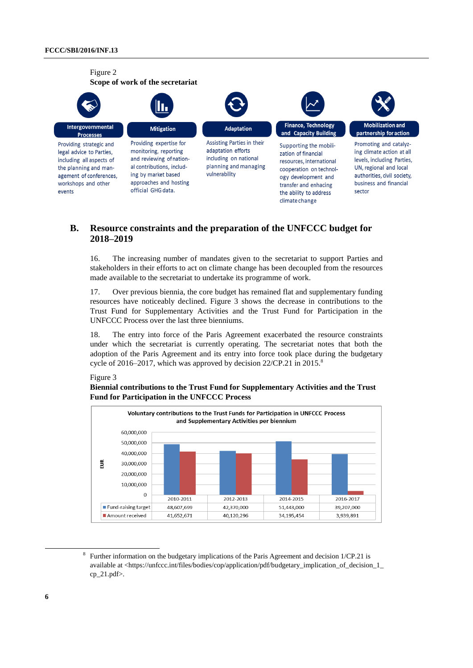

### **B. Resource constraints and the preparation of the UNFCCC budget for 2018–2019**

16. The increasing number of mandates given to the secretariat to support Parties and stakeholders in their efforts to act on climate change has been decoupled from the resources made available to the secretariat to undertake its programme of work.

17. Over previous biennia, the core budget has remained flat and supplementary funding resources have noticeably declined. Figure 3 shows the decrease in contributions to the Trust Fund for Supplementary Activities and the Trust Fund for Participation in the UNFCCC Process over the last three bienniums.

18. The entry into force of the Paris Agreement exacerbated the resource constraints under which the secretariat is currently operating. The secretariat notes that both the adoption of the Paris Agreement and its entry into force took place during the budgetary cycle of 2016–2017, which was approved by decision 22/CP.21 in 2015.<sup>8</sup>

### Figure 3

### **Biennial contributions to the Trust Fund for Supplementary Activities and the Trust Fund for Participation in the UNFCCC Process**



<sup>&</sup>lt;sup>8</sup> Further information on the budgetary implications of the Paris Agreement and decision 1/CP.21 is available at <https://unfccc.int/files/bodies/cop/application/pdf/budgetary\_implication\_of\_decision\_1\_ cp $21.pdf$ .

-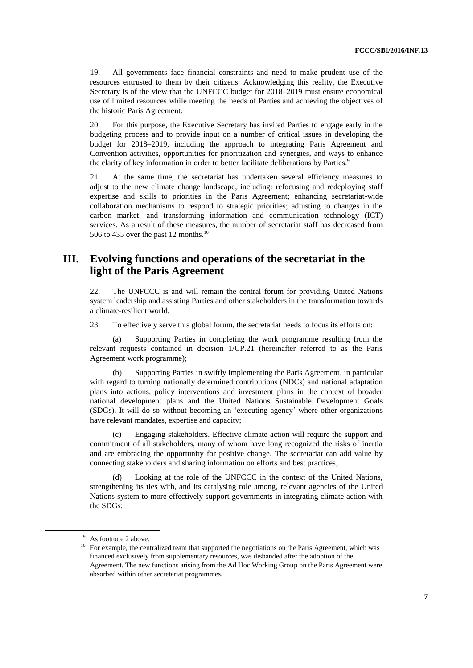19. All governments face financial constraints and need to make prudent use of the resources entrusted to them by their citizens. Acknowledging this reality, the Executive Secretary is of the view that the UNFCCC budget for 2018–2019 must ensure economical use of limited resources while meeting the needs of Parties and achieving the objectives of the historic Paris Agreement.

20. For this purpose, the Executive Secretary has invited Parties to engage early in the budgeting process and to provide input on a number of critical issues in developing the budget for 2018–2019, including the approach to integrating Paris Agreement and Convention activities, opportunities for prioritization and synergies, and ways to enhance the clarity of key information in order to better facilitate deliberations by Parties.<sup>9</sup>

21. At the same time, the secretariat has undertaken several efficiency measures to adjust to the new climate change landscape, including: refocusing and redeploying staff expertise and skills to priorities in the Paris Agreement; enhancing secretariat-wide collaboration mechanisms to respond to strategic priorities; adjusting to changes in the carbon market; and transforming information and communication technology (ICT) services. As a result of these measures, the number of secretariat staff has decreased from 506 to 435 over the past 12 months.<sup>10</sup>

## **III. Evolving functions and operations of the secretariat in the light of the Paris Agreement**

22. The UNFCCC is and will remain the central forum for providing United Nations system leadership and assisting Parties and other stakeholders in the transformation towards a climate-resilient world.

23. To effectively serve this global forum, the secretariat needs to focus its efforts on:

(a) Supporting Parties in completing the work programme resulting from the relevant requests contained in decision 1/CP.21 (hereinafter referred to as the Paris Agreement work programme);

(b) Supporting Parties in swiftly implementing the Paris Agreement, in particular with regard to turning nationally determined contributions (NDCs) and national adaptation plans into actions, policy interventions and investment plans in the context of broader national development plans and the United Nations Sustainable Development Goals (SDGs). It will do so without becoming an 'executing agency' where other organizations have relevant mandates, expertise and capacity;

(c) Engaging stakeholders. Effective climate action will require the support and commitment of all stakeholders, many of whom have long recognized the risks of inertia and are embracing the opportunity for positive change. The secretariat can add value by connecting stakeholders and sharing information on efforts and best practices;

(d) Looking at the role of the UNFCCC in the context of the United Nations, strengthening its ties with, and its catalysing role among, relevant agencies of the United Nations system to more effectively support governments in integrating climate action with the SDGs;

<sup>&</sup>lt;sup>9</sup> As footnote 2 above.

<sup>&</sup>lt;sup>10</sup> For example, the centralized team that supported the negotiations on the Paris Agreement, which was financed exclusively from supplementary resources, was disbanded after the adoption of the Agreement. The new functions arising from the Ad Hoc Working Group on the Paris Agreement were absorbed within other secretariat programmes.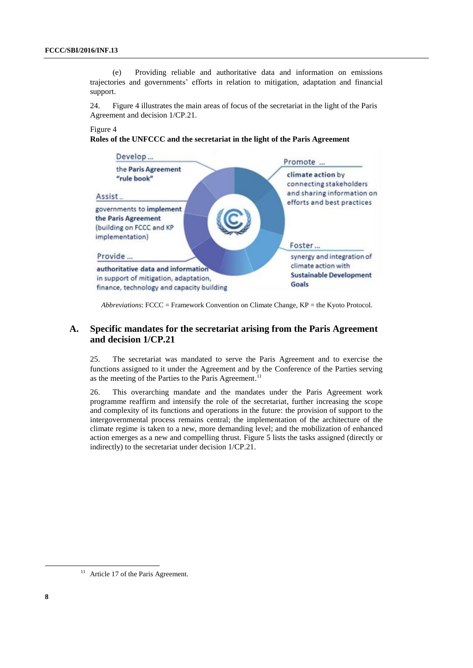(e) Providing reliable and authoritative data and information on emissions trajectories and governments' efforts in relation to mitigation, adaptation and financial support.

24. Figure 4 illustrates the main areas of focus of the secretariat in the light of the Paris Agreement and decision 1/CP.21.

#### Figure 4

#### **Roles of the UNFCCC and the secretariat in the light of the Paris Agreement**



*Abbreviations*: FCCC = Framework Convention on Climate Change, KP = the Kyoto Protocol.

### **A. Specific mandates for the secretariat arising from the Paris Agreement and decision 1/CP.21**

25. The secretariat was mandated to serve the Paris Agreement and to exercise the functions assigned to it under the Agreement and by the Conference of the Parties serving as the meeting of the Parties to the Paris Agreement.<sup>11</sup>

26. This overarching mandate and the mandates under the Paris Agreement work programme reaffirm and intensify the role of the secretariat, further increasing the scope and complexity of its functions and operations in the future: the provision of support to the intergovernmental process remains central; the implementation of the architecture of the climate regime is taken to a new, more demanding level; and the mobilization of enhanced action emerges as a new and compelling thrust. Figure 5 lists the tasks assigned (directly or indirectly) to the secretariat under decision 1/CP.21.

-

 $11$  Article 17 of the Paris Agreement.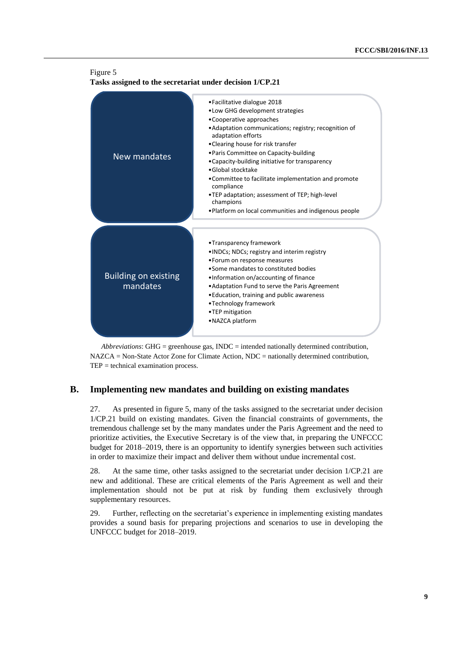

*Abbreviations*: GHG = greenhouse gas, INDC = intended nationally determined contribution, NAZCA = Non-State Actor Zone for Climate Action, NDC = nationally determined contribution, TEP = technical examination process.

### **B. Implementing new mandates and building on existing mandates**

27. As presented in figure 5, many of the tasks assigned to the secretariat under decision 1/CP.21 build on existing mandates. Given the financial constraints of governments, the tremendous challenge set by the many mandates under the Paris Agreement and the need to prioritize activities, the Executive Secretary is of the view that, in preparing the UNFCCC budget for 2018–2019, there is an opportunity to identify synergies between such activities in order to maximize their impact and deliver them without undue incremental cost.

28. At the same time, other tasks assigned to the secretariat under decision 1/CP.21 are new and additional. These are critical elements of the Paris Agreement as well and their implementation should not be put at risk by funding them exclusively through supplementary resources.

29. Further, reflecting on the secretariat's experience in implementing existing mandates provides a sound basis for preparing projections and scenarios to use in developing the UNFCCC budget for 2018–2019.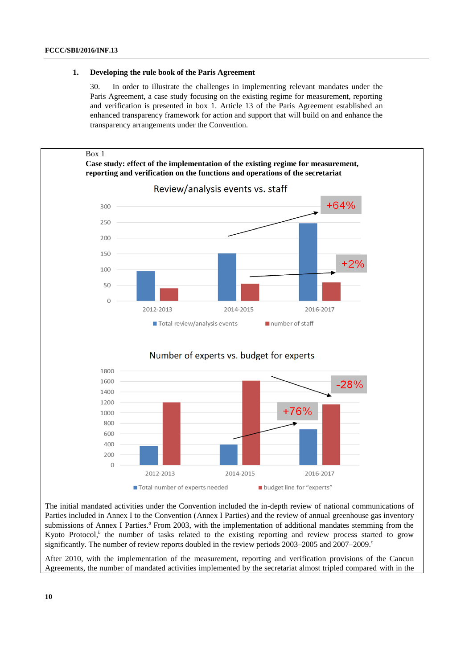#### **1. Developing the rule book of the Paris Agreement**

30. In order to illustrate the challenges in implementing relevant mandates under the Paris Agreement, a case study focusing on the existing regime for measurement, reporting and verification is presented in box 1. Article 13 of the Paris Agreement established an enhanced transparency framework for action and support that will build on and enhance the transparency arrangements under the Convention.



The initial mandated activities under the Convention included the in-depth review of national communications of Parties included in Annex I to the Convention (Annex I Parties) and the review of annual greenhouse gas inventory submissions of Annex I Parties.<sup>4</sup> From 2003, with the implementation of additional mandates stemming from the Kyoto Protocol,<sup>b</sup> the number of tasks related to the existing reporting and review process started to grow significantly. The number of review reports doubled in the review periods 2003–2005 and 2007–2009. *c*

After 2010, with the implementation of the measurement, reporting and verification provisions of the Cancun Agreements, the number of mandated activities implemented by the secretariat almost tripled compared with in the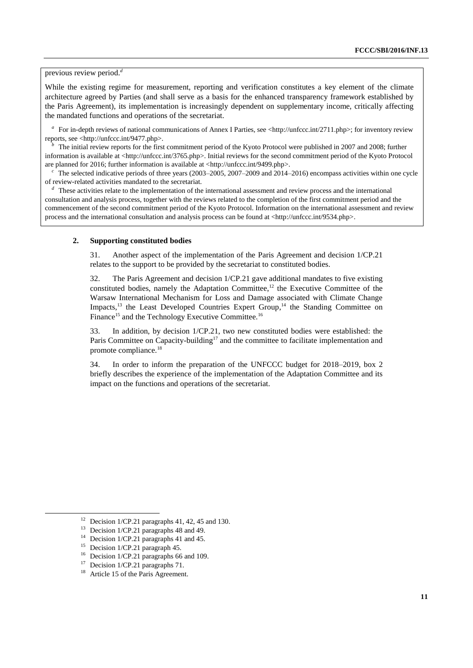previous review period.*<sup>d</sup>*

While the existing regime for measurement, reporting and verification constitutes a key element of the climate architecture agreed by Parties (and shall serve as a basis for the enhanced transparency framework established by the Paris Agreement), its implementation is increasingly dependent on supplementary income, critically affecting the mandated functions and operations of the secretariat.

<sup>*a*</sup> For in-depth reviews of national communications of Annex I Parties, see <http://unfccc.int/2711.php>; for inventory review reports, see <http://unfccc.int/9477.php>.

*<sup>b</sup>*The initial review reports for the first commitment period of the Kyoto Protocol were published in 2007 and 2008; further information is available at <http://unfccc.int/3765.php>. Initial reviews for the second commitment period of the Kyoto Protocol are planned for 2016; further information is available at <http://unfccc.int/9499.php>.

The selected indicative periods of three years (2003–2005, 2007–2009 and 2014–2016) encompass activities within one cycle of review-related activities mandated to the secretariat.

*<sup>d</sup>*These activities relate to the implementation of the international assessment and review process and the international consultation and analysis process, together with the reviews related to the completion of the first commitment period and the commencement of the second commitment period of the Kyoto Protocol. Information on the international assessment and review process and the international consultation and analysis process can be found at <http://unfccc.int/9534.php>.

#### **2. Supporting constituted bodies**

31. Another aspect of the implementation of the Paris Agreement and decision 1/CP.21 relates to the support to be provided by the secretariat to constituted bodies.

32. The Paris Agreement and decision 1/CP.21 gave additional mandates to five existing constituted bodies, namely the Adaptation Committee, <sup>12</sup> the Executive Committee of the Warsaw International Mechanism for Loss and Damage associated with Climate Change Impacts,<sup>13</sup> the Least Developed Countries Expert Group,<sup>14</sup> the Standing Committee on Finance<sup>15</sup> and the Technology Executive Committee.<sup>16</sup>

33. In addition, by decision 1/CP.21, two new constituted bodies were established: the Paris Committee on Capacity-building<sup>17</sup> and the committee to facilitate implementation and promote compliance.<sup>18</sup>

34. In order to inform the preparation of the UNFCCC budget for 2018–2019, box 2 briefly describes the experience of the implementation of the Adaptation Committee and its impact on the functions and operations of the secretariat.

-

<sup>&</sup>lt;sup>12</sup> Decision 1/CP.21 paragraphs 41, 42, 45 and 130.

Decision 1/CP.21 paragraphs 48 and 49.

<sup>&</sup>lt;sup>14</sup> Decision 1/CP.21 paragraphs 41 and 45.

<sup>&</sup>lt;sup>15</sup> Decision 1/CP.21 paragraph 45.

<sup>&</sup>lt;sup>16</sup> Decision 1/CP.21 paragraphs 66 and 109.

<sup>&</sup>lt;sup>17</sup> Decision 1/CP.21 paragraphs 71.

<sup>&</sup>lt;sup>18</sup> Article 15 of the Paris Agreement.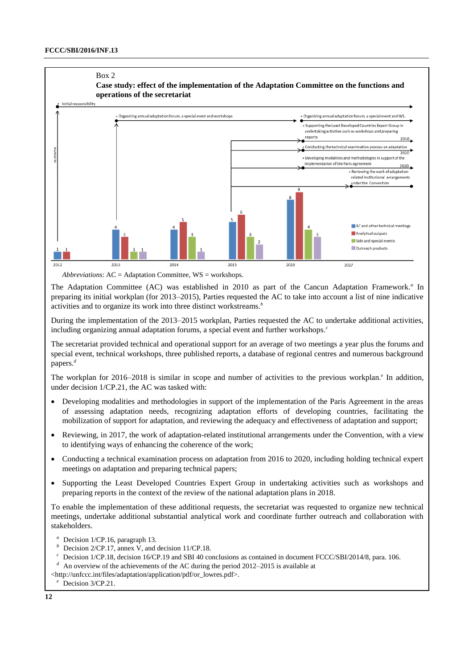#### Box 2



*Abbreviations*: AC = Adaptation Committee, WS = workshops.

The Adaptation Committee (AC) was established in 2010 as part of the Cancun Adaptation Framework.<sup>*a*</sup> In preparing its initial workplan (for 2013–2015), Parties requested the AC to take into account a list of nine indicative activities and to organize its work into three distinct workstreams.*<sup>b</sup>*

During the implementation of the 2013–2015 workplan, Parties requested the AC to undertake additional activities, including organizing annual adaptation forums, a special event and further workshops.*<sup>c</sup>*

The secretariat provided technical and operational support for an average of two meetings a year plus the forums and special event, technical workshops, three published reports, a database of regional centres and numerous background papers.*<sup>d</sup>*

The workplan for 2016–2018 is similar in scope and number of activities to the previous workplan.<sup>*e*</sup> In addition, under decision 1/CP.21, the AC was tasked with:

- Developing modalities and methodologies in support of the implementation of the Paris Agreement in the areas of assessing adaptation needs, recognizing adaptation efforts of developing countries, facilitating the mobilization of support for adaptation, and reviewing the adequacy and effectiveness of adaptation and support;
- Reviewing, in 2017, the work of adaptation-related institutional arrangements under the Convention, with a view to identifying ways of enhancing the coherence of the work;
- Conducting a technical examination process on adaptation from 2016 to 2020, including holding technical expert meetings on adaptation and preparing technical papers;
- Supporting the Least Developed Countries Expert Group in undertaking activities such as workshops and preparing reports in the context of the review of the national adaptation plans in 2018.

To enable the implementation of these additional requests, the secretariat was requested to organize new technical meetings, undertake additional substantial analytical work and coordinate further outreach and collaboration with stakeholders.

- *a* Decision 1/CP.16, paragraph 13.<br>*b* Decision  $2$ /CB.17, appex M, and
- Decision 2/CP.17, annex V, and decision 11/CP.18.
- Decision 1/CP.18, decision 16/CP.19 and SBI 40 conclusions as contained in document FCCC/SBI/2014/8, para. 106.
- An overview of the achievements of the AC during the period 2012–2015 is available at
- <http://unfccc.int/files/adaptation/application/pdf/or\_lowres.pdf>.
	- <sup>e</sup> Decision 3/CP.21.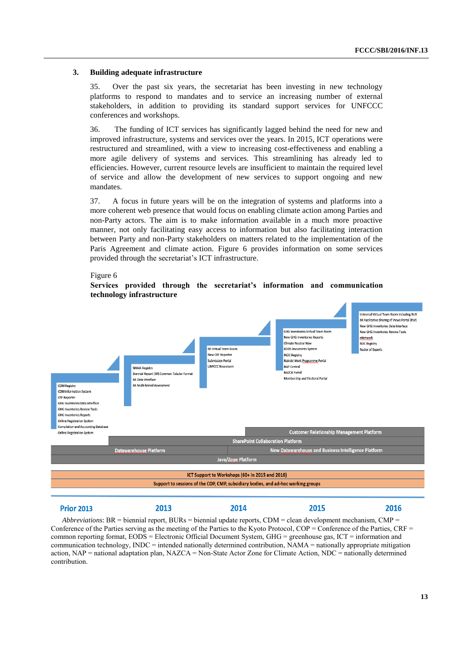#### **3. Building adequate infrastructure**

35. Over the past six years, the secretariat has been investing in new technology platforms to respond to mandates and to service an increasing number of external stakeholders, in addition to providing its standard support services for UNFCCC conferences and workshops.

36. The funding of ICT services has significantly lagged behind the need for new and improved infrastructure, systems and services over the years. In 2015, ICT operations were restructured and streamlined, with a view to increasing cost-effectiveness and enabling a more agile delivery of systems and services. This streamlining has already led to efficiencies. However, current resource levels are insufficient to maintain the required level of service and allow the development of new services to support ongoing and new mandates.

37. A focus in future years will be on the integration of systems and platforms into a more coherent web presence that would focus on enabling climate action among Parties and non-Party actors. The aim is to make information available in a much more proactive manner, not only facilitating easy access to information but also facilitating interaction between Party and non-Party stakeholders on matters related to the implementation of the Paris Agreement and climate action. Figure 6 provides information on some services provided through the secretariat's ICT infrastructure.

#### Universal Virtual Team Room including BUF **RD Facilitative Sharing of Views Portal (FSV)** New GHG Inventories Data Interface CHC Inventories Virtual Team Poor **New GHG Inventories Review Tools** lew GHG Inventories Reports eNetwork .<br>Climate Neutral Nov **IDC Registry BR Virtual Team Room FODS Documents System** oster of Expert **NV CRE Renorte INDC Registry Submission Portal** .<br>Nairobi Work Programme Porta .<br>NAMA Registry UNFCCC Newsroon NAP Central **NAZCA Portal** .<br>Riannial Danort (RD) Common Tabular Fr Membership and Electoral Portal **BR** Data Interface **CDM Registry BR Multi-lateral Assessmen** CDM Information System **CRF Reporter** GHG Inventories Data Interface CHC Inventories Review Tools **GHG Inventories Reports Online Registration System** Compilation and Accounting Databas **Customer Relationship Management Platform** .<br>Online Registration System **SharePoint Collaboration Platforn Datawarehouse Platform** New Datawarehouse and Business Intelligence Platform **Java/Zope Platform** ICT Support to Workshops (60+ in 2015 and 2016) Support to sessions of the COP, CMP, subsidiary bodies, and ad-hoc working groups

*Abbreviations*: BR = biennial report, BURs = biennial update reports, CDM = clean development mechanism, CMP = Conference of the Parties serving as the meeting of the Parties to the Kyoto Protocol, COP = Conference of the Parties, CRF = common reporting format, EODS = Electronic Official Document System, GHG = greenhouse gas, ICT = information and communication technology, INDC = intended nationally determined contribution, NAMA = nationally appropriate mitigation action, NAP = national adaptation plan, NAZCA = Non-State Actor Zone for Climate Action, NDC = nationally determined contribution.

2014

2013

2015

#### Figure 6

**Prior 2013** 

### **Services provided through the secretariat's information and communication technology infrastructure**

2016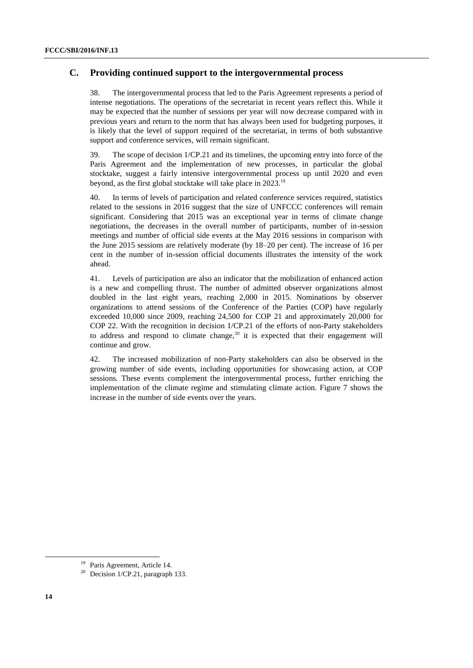## **C. Providing continued support to the intergovernmental process**

38. The intergovernmental process that led to the Paris Agreement represents a period of intense negotiations. The operations of the secretariat in recent years reflect this. While it may be expected that the number of sessions per year will now decrease compared with in previous years and return to the norm that has always been used for budgeting purposes, it is likely that the level of support required of the secretariat, in terms of both substantive support and conference services, will remain significant.

39. The scope of decision 1/CP.21 and its timelines, the upcoming entry into force of the Paris Agreement and the implementation of new processes, in particular the global stocktake, suggest a fairly intensive intergovernmental process up until 2020 and even beyond, as the first global stocktake will take place in 2023.<sup>19</sup>

40. In terms of levels of participation and related conference services required, statistics related to the sessions in 2016 suggest that the size of UNFCCC conferences will remain significant. Considering that 2015 was an exceptional year in terms of climate change negotiations, the decreases in the overall number of participants, number of in-session meetings and number of official side events at the May 2016 sessions in comparison with the June 2015 sessions are relatively moderate (by 18–20 per cent). The increase of 16 per cent in the number of in-session official documents illustrates the intensity of the work ahead.

41. Levels of participation are also an indicator that the mobilization of enhanced action is a new and compelling thrust. The number of admitted observer organizations almost doubled in the last eight years, reaching 2,000 in 2015. Nominations by observer organizations to attend sessions of the Conference of the Parties (COP) have regularly exceeded 10,000 since 2009, reaching 24,500 for COP 21 and approximately 20,000 for COP 22. With the recognition in decision 1/CP.21 of the efforts of non-Party stakeholders to address and respond to climate change,<sup>20</sup> it is expected that their engagement will continue and grow.

42. The increased mobilization of non-Party stakeholders can also be observed in the growing number of side events, including opportunities for showcasing action, at COP sessions. These events complement the intergovernmental process, further enriching the implementation of the climate regime and stimulating climate action. Figure 7 shows the increase in the number of side events over the years.

<sup>&</sup>lt;sup>19</sup> Paris Agreement, Article 14.

<sup>&</sup>lt;sup>20</sup> Decision 1/CP.21, paragraph 133.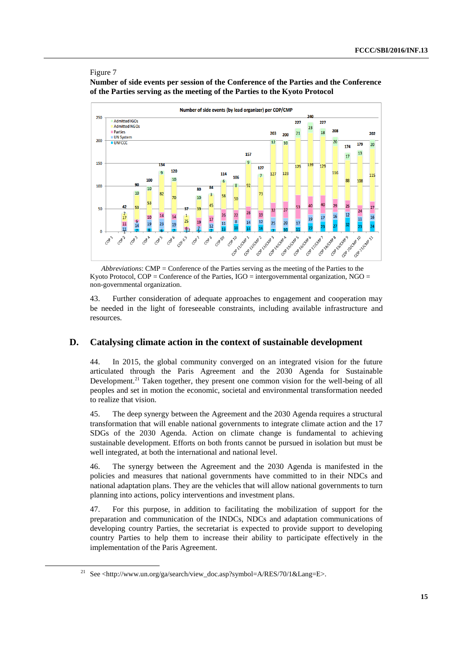#### Figure 7

-

**Number of side events per session of the Conference of the Parties and the Conference of the Parties serving as the meeting of the Parties to the Kyoto Protocol**



*Abbreviations*: CMP = Conference of the Parties serving as the meeting of the Parties to the Kyoto Protocol,  $COP =$ Conference of the Parties,  $IGO =$  intergovernmental organization,  $NGO =$ non-governmental organization.

43. Further consideration of adequate approaches to engagement and cooperation may be needed in the light of foreseeable constraints, including available infrastructure and resources.

### **D. Catalysing climate action in the context of sustainable development**

44. In 2015, the global community converged on an integrated vision for the future articulated through the Paris Agreement and the 2030 Agenda for Sustainable Development.<sup>21</sup> Taken together, they present one common vision for the well-being of all peoples and set in motion the economic, societal and environmental transformation needed to realize that vision.

45. The deep synergy between the Agreement and the 2030 Agenda requires a structural transformation that will enable national governments to integrate climate action and the 17 SDGs of the 2030 Agenda. Action on climate change is fundamental to achieving sustainable development. Efforts on both fronts cannot be pursued in isolation but must be well integrated, at both the international and national level.

46. The synergy between the Agreement and the 2030 Agenda is manifested in the policies and measures that national governments have committed to in their NDCs and national adaptation plans. They are the vehicles that will allow national governments to turn planning into actions, policy interventions and investment plans.

47. For this purpose, in addition to facilitating the mobilization of support for the preparation and communication of the INDCs, NDCs and adaptation communications of developing country Parties, the secretariat is expected to provide support to developing country Parties to help them to increase their ability to participate effectively in the implementation of the Paris Agreement.

<sup>21</sup> See <http://www.un.org/ga/search/view\_doc.asp?symbol=A/RES/70/1&Lang=E>.